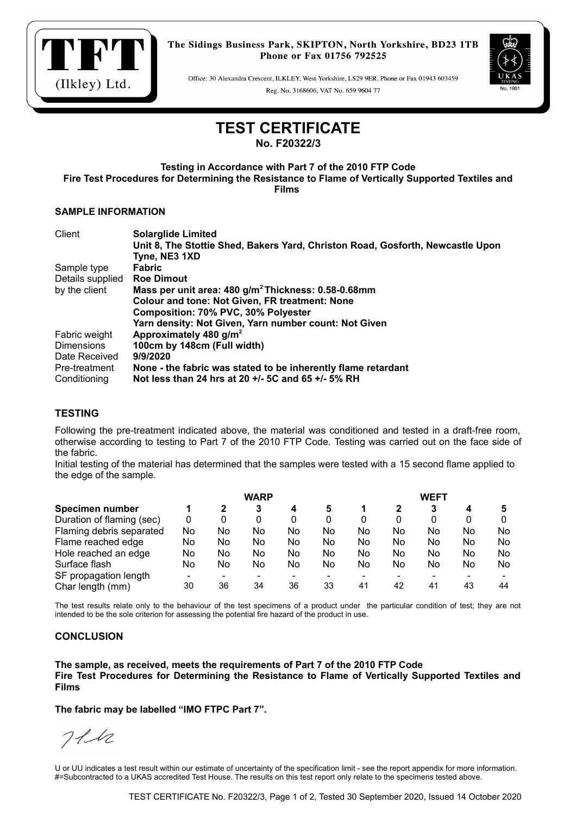

Office: 30 Alexandra Crescent, ILKLEY, West Yorkshire, LS29 9ER, Phone or Fax 01943 603459 Reg. No. 3168606, VAT No. 659 9604 77



# **TEST CERTIFICATE**

**No. F20322/3**

**Testing in Accordance with Part 7 of the 2010 FTP Code Fire Test Procedures for Determining the Resistance to Flame of Vertically Supported Textiles and Films** 

#### **SAMPLE INFORMATION**

| Client            | <b>Solarglide Limited</b>                                                      |
|-------------------|--------------------------------------------------------------------------------|
|                   | Unit 8, The Stottie Shed, Bakers Yard, Christon Road, Gosforth, Newcastle Upon |
|                   | Tyne, NE3 1XD                                                                  |
| Sample type       | <b>Fabric</b>                                                                  |
| Details supplied  | <b>Roe Dimout</b>                                                              |
| by the client     | Mass per unit area: 480 g/m <sup>2</sup> Thickness: 0.58-0.68mm                |
|                   | <b>Colour and tone: Not Given, FR treatment: None</b>                          |
|                   | Composition: 70% PVC, 30% Polyester                                            |
|                   | Yarn density: Not Given, Yarn number count: Not Given                          |
| Fabric weight     | Approximately 480 $g/m^2$                                                      |
| <b>Dimensions</b> | 100cm by 148cm (Full width)                                                    |
| Date Received     | 9/9/2020                                                                       |
| Pre-treatment     | None - the fabric was stated to be inherently flame retardant                  |
| Conditioning      | Not less than 24 hrs at 20 +/- 5C and 65 +/- 5% RH                             |

## **TESTING**

Following the pre-treatment indicated above, the material was conditioned and tested in a draft-free room, otherwise according to testing to Part 7 of the 2010 FTP Code. Testing was carried out on the face side of the fabric.

Initial testing of the material has determined that the samples were tested with a 15 second flame applied to the edge of the sample.

|                           | <b>WARP</b> |    |    |    |    | <b>WEFT</b> |    |    |    |     |  |
|---------------------------|-------------|----|----|----|----|-------------|----|----|----|-----|--|
| Specimen number           |             |    | 3  | 4  | 5  |             |    | 3  |    |     |  |
| Duration of flaming (sec) | 0           | 0  | 0  | 0  | 0  | 0           |    |    | 0  |     |  |
| Flaming debris separated  | No          | No | No | No | No | No          | No | No | No | No  |  |
| Flame reached edge        | No          | No | No | No | No | No          | No | No | No | No  |  |
| Hole reached an edge      | No          | No | No | No | No | No          | No | No | No | No. |  |
| Surface flash             | No          | No | No | No | No | No          | No | No | No | No. |  |
| SF propagation length     |             |    |    |    |    |             |    |    |    |     |  |
| Char length (mm)          | 30          | 36 | 34 | 36 | 33 | 41          | 42 | 41 | 43 | 44  |  |

The test results relate only to the behaviour of the test specimens of a product under the particular condition of test; they are not intended to be the sole criterion for assessing the potential fire hazard of the product in use.

### **CONCLUSION**

**The sample, as received, meets the requirements of Part 7 of the 2010 FTP Code Fire Test Procedures for Determining the Resistance to Flame of Vertically Supported Textiles and Films** 

**The fabric may be labelled "IMO FTPC Part 7".**

 $711$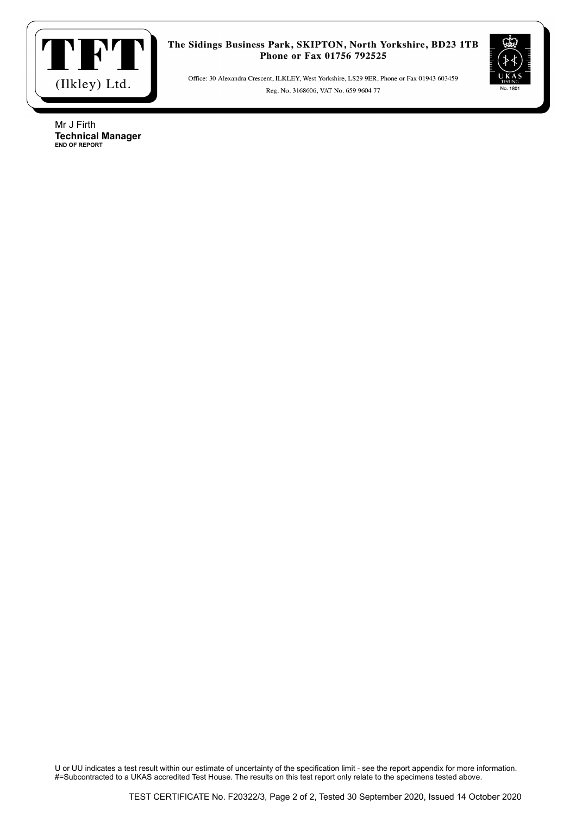

Office: 30 Alexandra Crescent, ILKLEY, West Yorkshire, LS29 9ER, Phone or Fax 01943 603459 Reg. No. 3168606, VAT No. 659 9604 77



Mr J Firth **Technical Manager END OF REPORT**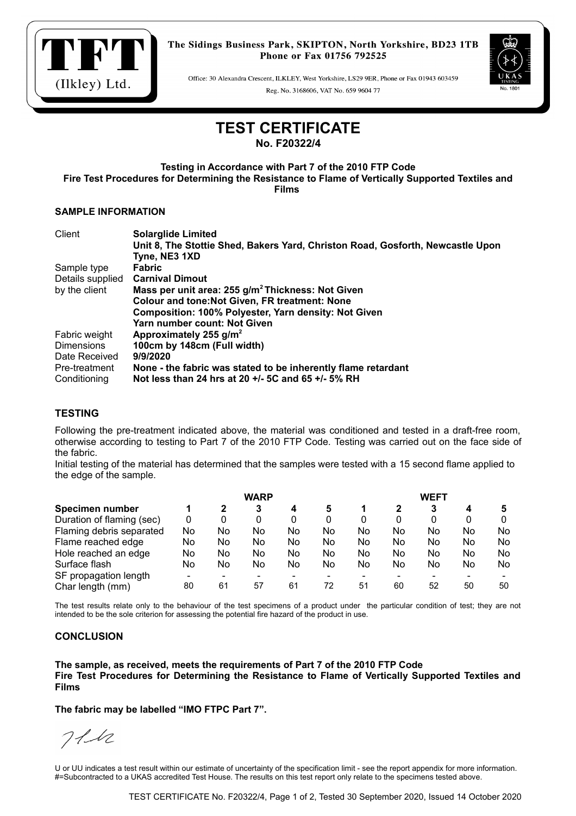

Office: 30 Alexandra Crescent, ILKLEY, West Yorkshire, LS29 9ER, Phone or Fax 01943 603459 Reg. No. 3168606, VAT No. 659 9604 77



# **TEST CERTIFICATE**

**No. F20322/4**

**Testing in Accordance with Part 7 of the 2010 FTP Code Fire Test Procedures for Determining the Resistance to Flame of Vertically Supported Textiles and Films** 

#### **SAMPLE INFORMATION**

| Client            | <b>Solarglide Limited</b>                                                      |
|-------------------|--------------------------------------------------------------------------------|
|                   | Unit 8, The Stottie Shed, Bakers Yard, Christon Road, Gosforth, Newcastle Upon |
|                   | Tyne, NE3 1XD                                                                  |
| Sample type       | <b>Fabric</b>                                                                  |
| Details supplied  | <b>Carnival Dimout</b>                                                         |
| by the client     | Mass per unit area: 255 g/m <sup>2</sup> Thickness: Not Given                  |
|                   | <b>Colour and tone: Not Given, FR treatment: None</b>                          |
|                   | Composition: 100% Polyester, Yarn density: Not Given                           |
|                   | Yarn number count: Not Given                                                   |
| Fabric weight     | Approximately 255 $g/m^2$                                                      |
| <b>Dimensions</b> | 100cm by 148cm (Full width)                                                    |
| Date Received     | 9/9/2020                                                                       |
| Pre-treatment     | None - the fabric was stated to be inherently flame retardant                  |
| Conditioning      | Not less than 24 hrs at 20 +/- 5C and 65 +/- 5% RH                             |

## **TESTING**

Following the pre-treatment indicated above, the material was conditioned and tested in a draft-free room, otherwise according to testing to Part 7 of the 2010 FTP Code. Testing was carried out on the face side of the fabric.

Initial testing of the material has determined that the samples were tested with a 15 second flame applied to the edge of the sample.

|                           | <b>WARP</b> |    |    |    |    | WEFT |    |    |    |    |  |
|---------------------------|-------------|----|----|----|----|------|----|----|----|----|--|
| <b>Specimen number</b>    |             | 2  | 3  | 4  | 5  |      |    | 3  |    |    |  |
| Duration of flaming (sec) | 0           | 0  | 0  |    | 0  | 0    | 0  |    |    |    |  |
| Flaming debris separated  | No          | No | No | No | No | No   | No | No | No | No |  |
| Flame reached edge        | No          | No | No | No | No | No   | No | No | No | No |  |
| Hole reached an edge      | No          | No | No | No | No | No   | No | No | No | No |  |
| Surface flash             | No          | No | No | No | No | No   | No | No | No | No |  |
| SF propagation length     |             |    |    |    |    |      |    |    |    |    |  |
| Char length (mm)          | 80          | 61 | 57 | 61 | 72 | 51   | 60 | 52 | 50 | 50 |  |

The test results relate only to the behaviour of the test specimens of a product under the particular condition of test; they are not intended to be the sole criterion for assessing the potential fire hazard of the product in use.

### **CONCLUSION**

**The sample, as received, meets the requirements of Part 7 of the 2010 FTP Code Fire Test Procedures for Determining the Resistance to Flame of Vertically Supported Textiles and Films** 

**The fabric may be labelled "IMO FTPC Part 7".**

 $711$